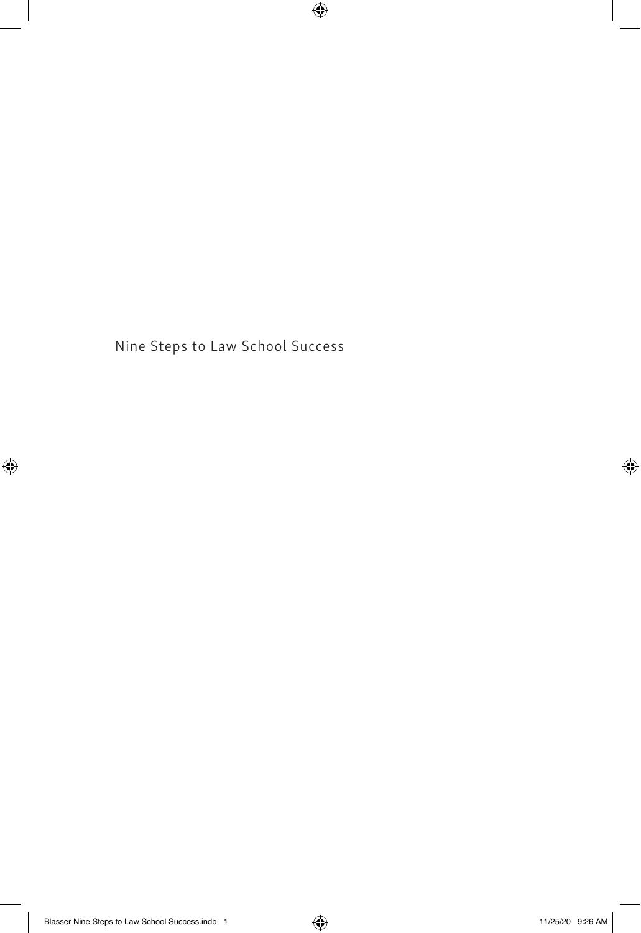Nine Steps to Law School Success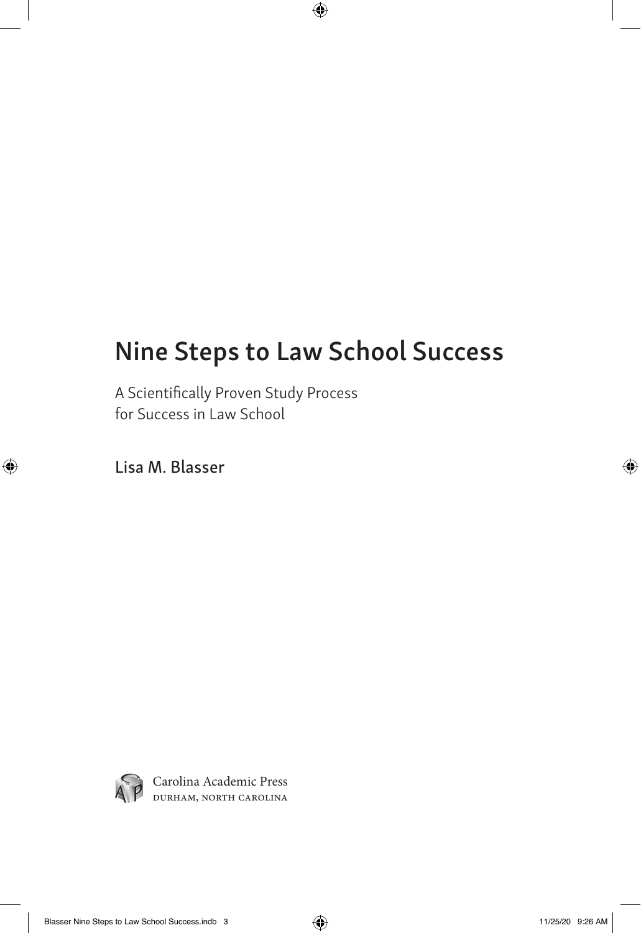# Nine Steps to Law School Success

A Scientifically Proven Study Process for Success in Law School

Lisa M. Blasser



Carolina Academic Press durham, north carolina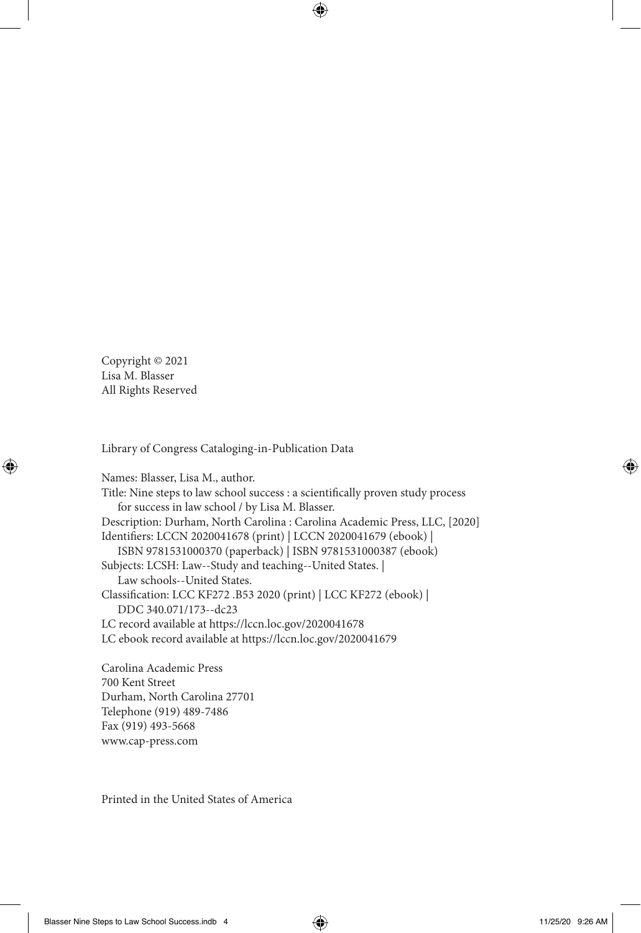Copyright © 2021 Lisa M. Blasser All Rights Reserved

Library of Congress Cataloging-in-Publication Data

Names: Blasser, Lisa M., author. Title: Nine steps to law school success : a scientifically proven study process for success in law school / by Lisa M. Blasser. Description: Durham, North Carolina : Carolina Academic Press, LLC, [2020] Identifiers: LCCN 2020041678 (print) | LCCN 2020041679 (ebook) | ISBN 9781531000370 (paperback) | ISBN 9781531000387 (ebook) Subjects: LCSH: Law--Study and teaching--United States. | Law schools--United States. Classification: LCC KF272 .B53 2020 (print) | LCC KF272 (ebook) | DDC 340.071/173--dc23 LC record available at https://lccn.loc.gov/2020041678 LC ebook record available at https://lccn.loc.gov/2020041679

Carolina Academic Press 700 Kent Street Durham, North Carolina 27701 Telephone (919) 489-7486 Fax (919) 493-5668 www.cap-press.com

Printed in the United States of America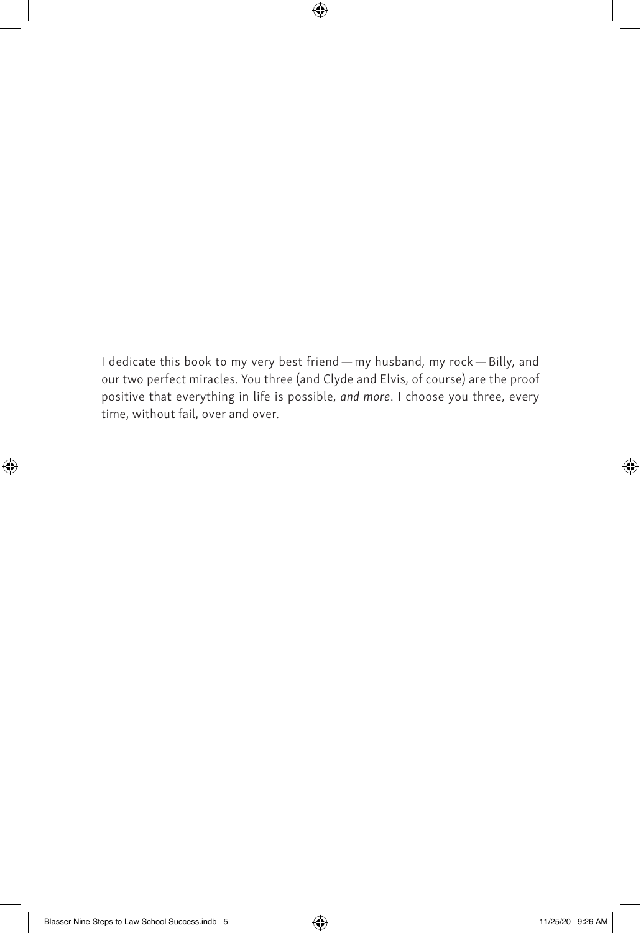I dedicate this book to my very best friend — my husband, my rock — Billy, and our two perfect miracles. You three (and Clyde and Elvis, of course) are the proof positive that everything in life is possible, *and more*. I choose you three, every time, without fail, over and over.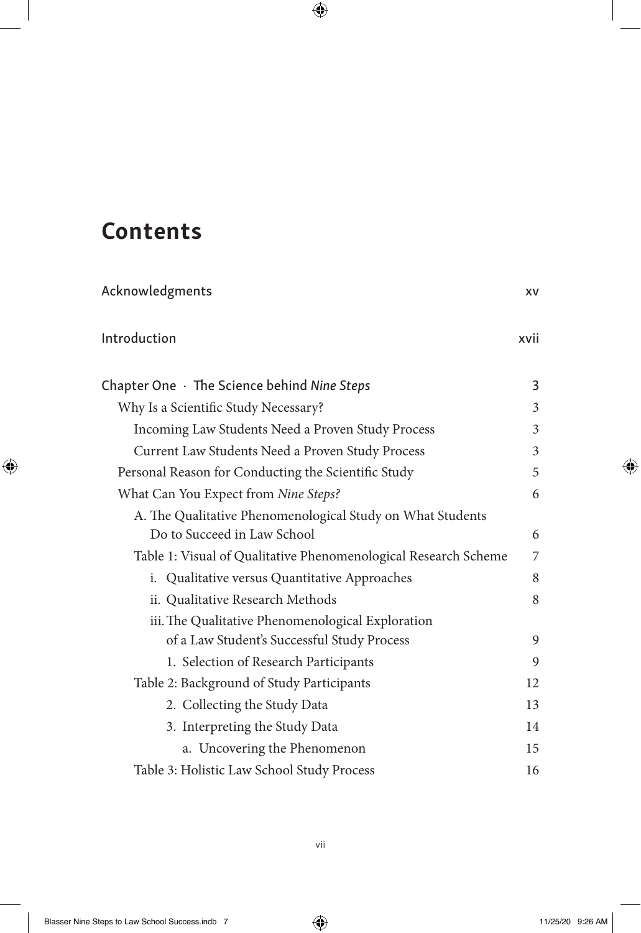# Contents

| Acknowledgments                                                 | XV   |
|-----------------------------------------------------------------|------|
| Introduction                                                    | xvii |
| Chapter One $\cdot$ The Science behind Nine Steps               | 3    |
| Why Is a Scientific Study Necessary?                            | 3    |
| Incoming Law Students Need a Proven Study Process               | 3    |
| Current Law Students Need a Proven Study Process                | 3    |
| Personal Reason for Conducting the Scientific Study             | 5    |
| What Can You Expect from Nine Steps?                            | 6    |
| A. The Qualitative Phenomenological Study on What Students      |      |
| Do to Succeed in Law School                                     | 6    |
| Table 1: Visual of Qualitative Phenomenological Research Scheme | 7    |
| i. Qualitative versus Quantitative Approaches                   | 8    |
| ii. Qualitative Research Methods                                | 8    |
| iii. The Qualitative Phenomenological Exploration               |      |
| of a Law Student's Successful Study Process                     | 9    |
| 1. Selection of Research Participants                           | 9    |
| Table 2: Background of Study Participants                       | 12   |
| 2. Collecting the Study Data                                    | 13   |
| 3. Interpreting the Study Data                                  | 14   |
| a. Uncovering the Phenomenon                                    | 15   |
| Table 3: Holistic Law School Study Process                      | 16   |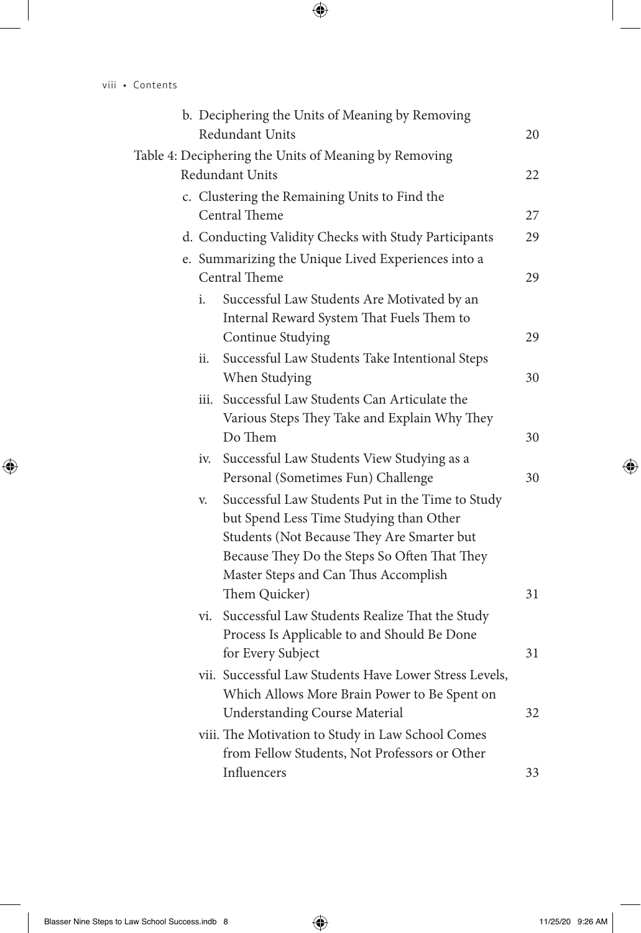|  |     | b. Deciphering the Units of Meaning by Removing<br>Redundant Units                                                                                                                        | 20 |
|--|-----|-------------------------------------------------------------------------------------------------------------------------------------------------------------------------------------------|----|
|  |     | Table 4: Deciphering the Units of Meaning by Removing<br>Redundant Units                                                                                                                  | 22 |
|  |     |                                                                                                                                                                                           |    |
|  |     | c. Clustering the Remaining Units to Find the<br>Central Theme                                                                                                                            | 27 |
|  |     | d. Conducting Validity Checks with Study Participants                                                                                                                                     | 29 |
|  |     | e. Summarizing the Unique Lived Experiences into a<br>Central Theme                                                                                                                       | 29 |
|  | i.  | Successful Law Students Are Motivated by an<br>Internal Reward System That Fuels Them to                                                                                                  |    |
|  |     | Continue Studying                                                                                                                                                                         | 29 |
|  | ii. | Successful Law Students Take Intentional Steps<br>When Studying                                                                                                                           | 30 |
|  |     | iii. Successful Law Students Can Articulate the                                                                                                                                           |    |
|  |     | Various Steps They Take and Explain Why They                                                                                                                                              |    |
|  |     | Do Them                                                                                                                                                                                   | 30 |
|  | iv. | Successful Law Students View Studying as a                                                                                                                                                |    |
|  |     | Personal (Sometimes Fun) Challenge                                                                                                                                                        | 30 |
|  | V.  | Successful Law Students Put in the Time to Study<br>but Spend Less Time Studying than Other<br>Students (Not Because They Are Smarter but<br>Because They Do the Steps So Often That They |    |
|  |     | Master Steps and Can Thus Accomplish                                                                                                                                                      |    |
|  |     | Them Quicker)                                                                                                                                                                             | 31 |
|  | vi. | Successful Law Students Realize That the Study<br>Process Is Applicable to and Should Be Done                                                                                             |    |
|  |     | for Every Subject                                                                                                                                                                         | 31 |
|  |     | vii. Successful Law Students Have Lower Stress Levels,<br>Which Allows More Brain Power to Be Spent on                                                                                    |    |
|  |     | <b>Understanding Course Material</b>                                                                                                                                                      | 32 |
|  |     | viii. The Motivation to Study in Law School Comes                                                                                                                                         |    |
|  |     | from Fellow Students, Not Professors or Other                                                                                                                                             |    |
|  |     | Influencers                                                                                                                                                                               | 33 |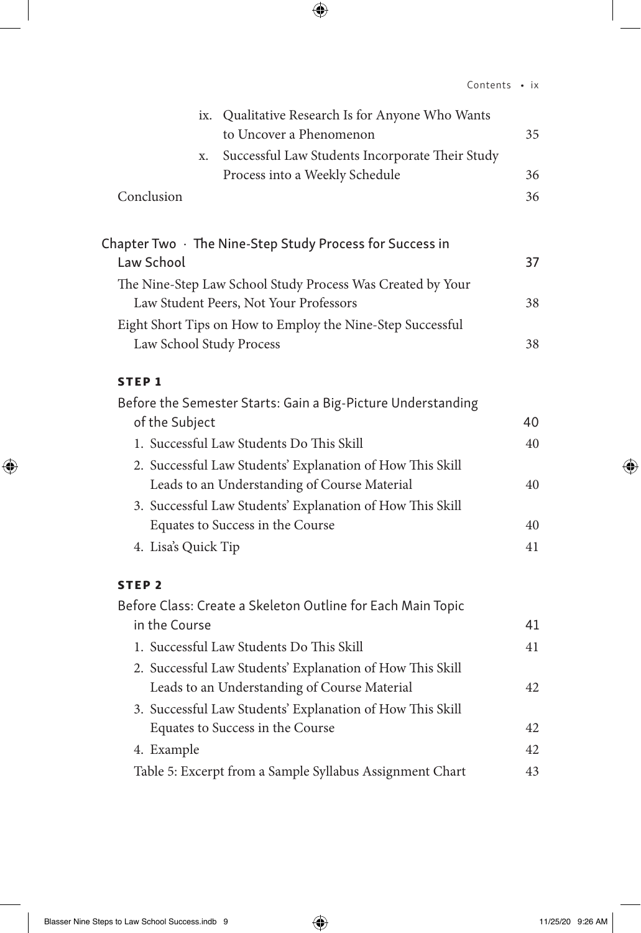|                     | ix. Qualitative Research Is for Anyone Who Wants                                                          |    |
|---------------------|-----------------------------------------------------------------------------------------------------------|----|
|                     | to Uncover a Phenomenon                                                                                   | 35 |
|                     | Successful Law Students Incorporate Their Study<br>X.                                                     |    |
|                     | Process into a Weekly Schedule                                                                            | 36 |
| Conclusion          |                                                                                                           | 36 |
|                     |                                                                                                           |    |
|                     | Chapter Two $\cdot$ The Nine-Step Study Process for Success in                                            |    |
| Law School          |                                                                                                           | 37 |
|                     | The Nine-Step Law School Study Process Was Created by Your                                                |    |
|                     | Law Student Peers, Not Your Professors                                                                    | 38 |
|                     | Eight Short Tips on How to Employ the Nine-Step Successful                                                |    |
|                     | Law School Study Process                                                                                  | 38 |
| <b>STEP1</b>        |                                                                                                           |    |
|                     | Before the Semester Starts: Gain a Big-Picture Understanding                                              |    |
| of the Subject      |                                                                                                           | 40 |
|                     | 1. Successful Law Students Do This Skill                                                                  | 40 |
|                     | 2. Successful Law Students' Explanation of How This Skill                                                 |    |
|                     | Leads to an Understanding of Course Material                                                              | 40 |
|                     | 3. Successful Law Students' Explanation of How This Skill                                                 |    |
|                     | Equates to Success in the Course                                                                          | 40 |
| 4. Lisa's Quick Tip |                                                                                                           | 41 |
|                     |                                                                                                           |    |
| STEP <sub>2</sub>   |                                                                                                           |    |
| in the Course       | Before Class: Create a Skeleton Outline for Each Main Topic                                               | 41 |
|                     |                                                                                                           |    |
|                     | 1. Successful Law Students Do This Skill                                                                  | 41 |
|                     | 2. Successful Law Students' Explanation of How This Skill<br>Leads to an Understanding of Course Material | 42 |
|                     |                                                                                                           |    |
|                     | 3. Successful Law Students' Explanation of How This Skill<br>Equates to Success in the Course             | 42 |
| 4. Example          |                                                                                                           | 42 |
|                     |                                                                                                           | 43 |
|                     | Table 5: Excerpt from a Sample Syllabus Assignment Chart                                                  |    |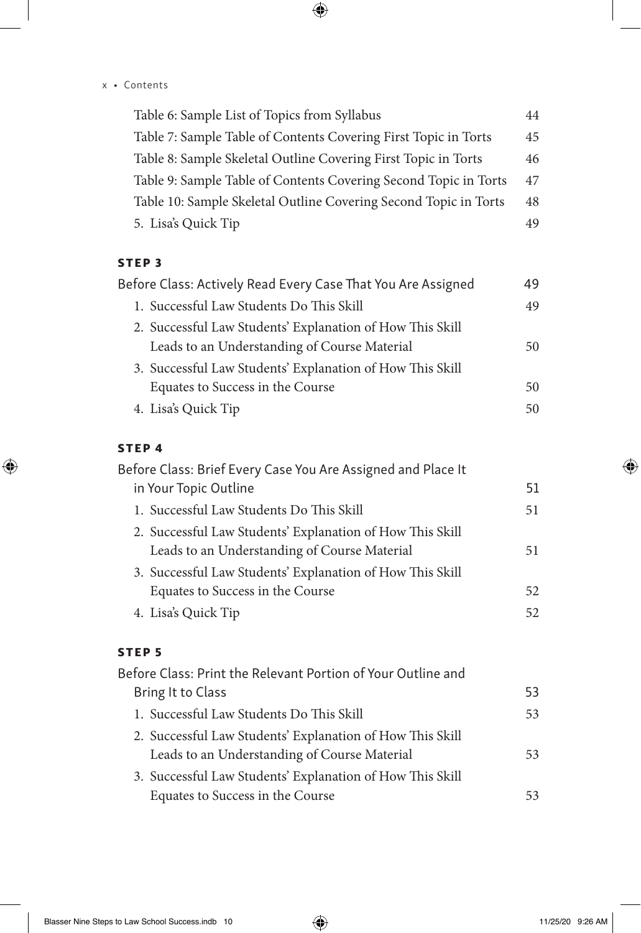#### x • Contents

| Table 6: Sample List of Topics from Syllabus                     | 44 |
|------------------------------------------------------------------|----|
| Table 7: Sample Table of Contents Covering First Topic in Torts  | 45 |
| Table 8: Sample Skeletal Outline Covering First Topic in Torts   | 46 |
| Table 9: Sample Table of Contents Covering Second Topic in Torts | 47 |
| Table 10: Sample Skeletal Outline Covering Second Topic in Torts | 48 |
| 5. Lisa's Quick Tip                                              | 49 |

#### STEP 3

| Before Class: Actively Read Every Case That You Are Assigned | 49 |
|--------------------------------------------------------------|----|
| 1. Successful Law Students Do This Skill                     | 49 |
| 2. Successful Law Students' Explanation of How This Skill    |    |
| Leads to an Understanding of Course Material                 | 50 |
| 3. Successful Law Students' Explanation of How This Skill    |    |
| Equates to Success in the Course                             | 50 |
| 4. Lisa's Quick Tip                                          | 50 |

## STEP 4

| Before Class: Brief Every Case You Are Assigned and Place It |    |
|--------------------------------------------------------------|----|
| in Your Topic Outline                                        | 51 |
| 1. Successful Law Students Do This Skill                     | 51 |
| 2. Successful Law Students' Explanation of How This Skill    |    |
| Leads to an Understanding of Course Material                 | 51 |
| 3. Successful Law Students' Explanation of How This Skill    |    |
| Equates to Success in the Course                             | 52 |
| 4. Lisa's Quick Tip                                          | 52 |
|                                                              |    |

### STEP 5

| Before Class: Print the Relevant Portion of Your Outline and |    |
|--------------------------------------------------------------|----|
| Bring It to Class                                            | 53 |
| 1. Successful Law Students Do This Skill                     | 53 |
| 2. Successful Law Students' Explanation of How This Skill    |    |
| Leads to an Understanding of Course Material                 | 53 |
| 3. Successful Law Students' Explanation of How This Skill    |    |
| Equates to Success in the Course                             | 53 |
|                                                              |    |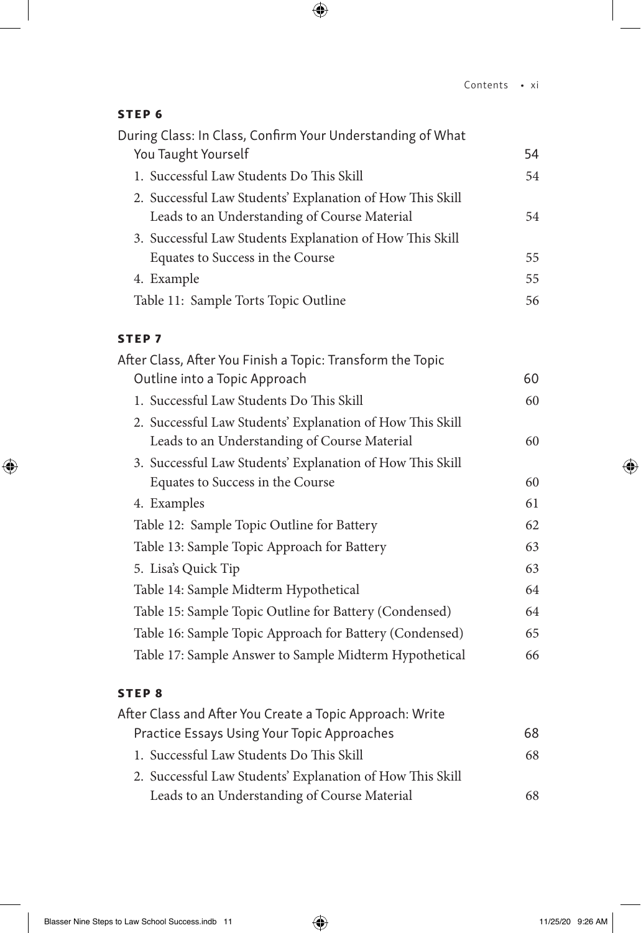### STEP 6

| During Class: In Class, Confirm Your Understanding of What |    |
|------------------------------------------------------------|----|
| You Taught Yourself                                        | 54 |
| 1. Successful Law Students Do This Skill                   | 54 |
| 2. Successful Law Students' Explanation of How This Skill  |    |
| Leads to an Understanding of Course Material               | 54 |
| 3. Successful Law Students Explanation of How This Skill   |    |
| Equates to Success in the Course                           | 55 |
| 4. Example                                                 | 55 |
| Table 11: Sample Torts Topic Outline                       | 56 |
| <b>STEP7</b>                                               |    |
| After Class, After You Finish a Topic: Transform the Topic |    |
| Outline into a Topic Approach                              | 60 |
| 1. Successful Law Students Do This Skill                   | 60 |
| 2. Successful Law Students' Explanation of How This Skill  |    |
| Leads to an Understanding of Course Material               | 60 |
| 3. Successful Law Students' Explanation of How This Skill  |    |
| Equates to Success in the Course                           | 60 |
| 4. Examples                                                | 61 |
| Table 12: Sample Topic Outline for Battery                 | 62 |
| Table 13: Sample Topic Approach for Battery                | 63 |
| 5. Lisa's Quick Tip                                        | 63 |
| Table 14: Sample Midterm Hypothetical                      | 64 |
| Table 15: Sample Topic Outline for Battery (Condensed)     | 64 |
| Table 16: Sample Topic Approach for Battery (Condensed)    | 65 |
| Table 17: Sample Answer to Sample Midterm Hypothetical     | 66 |
| <b>STEP8</b>                                               |    |
| After Class and After You Create a Topic Approach: Write   |    |
| Practice Essays Using Your Topic Approaches                | 68 |
| 1. Successful Law Students Do This Skill                   | 68 |

2. Successful Law Students' Explanation of How This Skill Leads to an Understanding of Course Material 68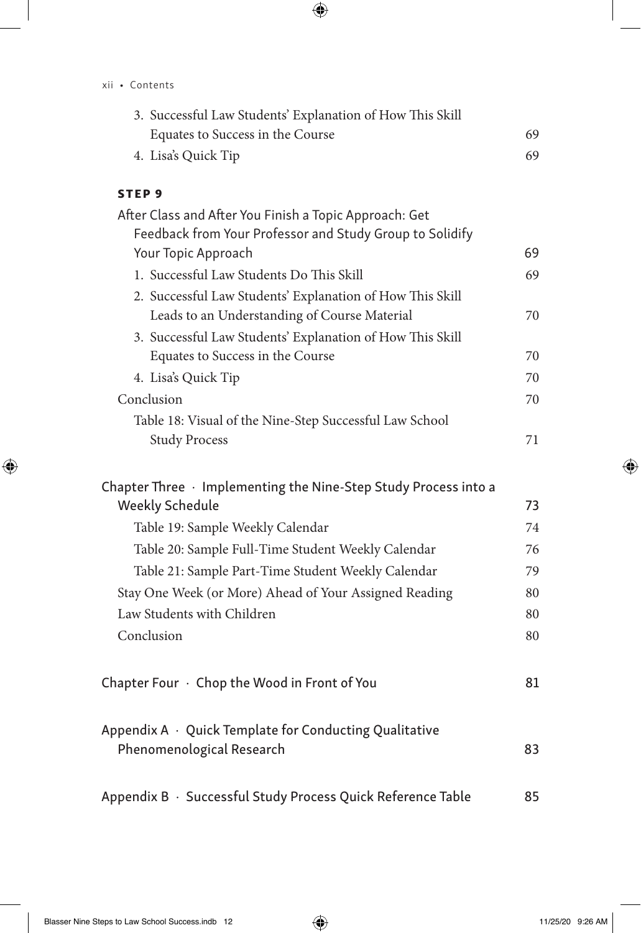| 3. Successful Law Students' Explanation of How This Skill |    |
|-----------------------------------------------------------|----|
| Equates to Success in the Course                          | 69 |
| 4. Lisa's Quick Tip                                       | 69 |
| STEP <sub>9</sub>                                         |    |
| After Class and After You Finish a Topic Approach: Get    |    |

| Feedback from Your Professor and Study Group to Solidify  |    |
|-----------------------------------------------------------|----|
| Your Topic Approach                                       | 69 |
| 1. Successful Law Students Do This Skill                  | 69 |
| 2. Successful Law Students' Explanation of How This Skill |    |
| Leads to an Understanding of Course Material              | 70 |
| 3. Successful Law Students' Explanation of How This Skill |    |
| Equates to Success in the Course                          | 70 |
| 4. Lisa's Quick Tip                                       | 70 |
| Conclusion                                                | 70 |
| Table 18: Visual of the Nine-Step Successful Law School   |    |
| <b>Study Process</b>                                      | 71 |
|                                                           |    |

| Chapter Three $\cdot$ Implementing the Nine-Step Study Process into a |    |
|-----------------------------------------------------------------------|----|
| <b>Weekly Schedule</b>                                                | 73 |
| Table 19: Sample Weekly Calendar                                      | 74 |
| Table 20: Sample Full-Time Student Weekly Calendar                    | 76 |
| Table 21: Sample Part-Time Student Weekly Calendar                    | 79 |
| Stay One Week (or More) Ahead of Your Assigned Reading                | 80 |
| Law Students with Children                                            | 80 |
| Conclusion                                                            | 80 |
|                                                                       |    |
| Chapter Four · Chop the Wood in Front of You                          | 81 |

| Appendix $A \cdot Q$ uick Template for Conducting Qualitative |    |
|---------------------------------------------------------------|----|
| Phenomenological Research                                     | 83 |
|                                                               |    |

Appendix B · Successful Study Process Quick Reference Table 85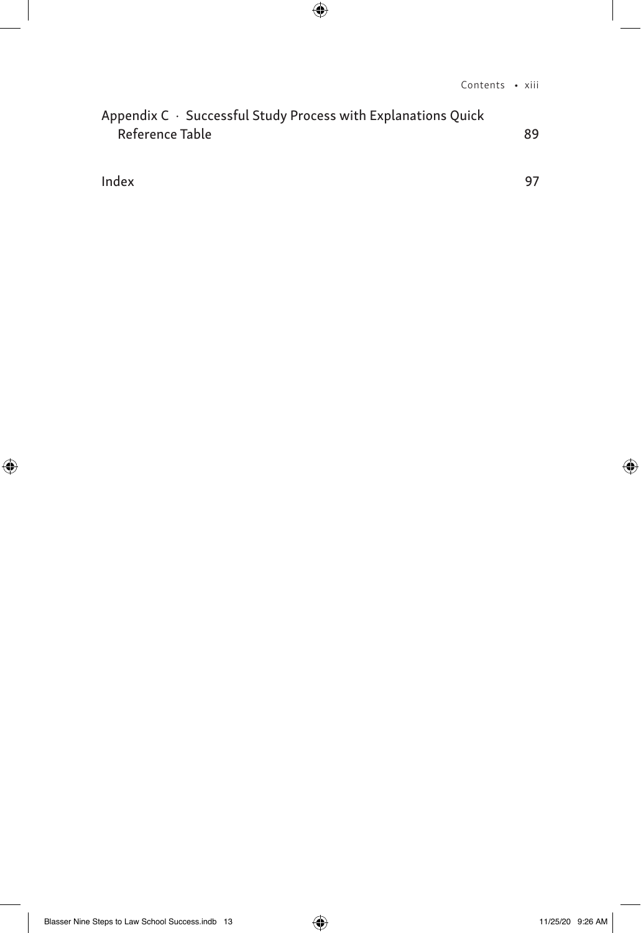| Appendix $C \cdot S$ uccessful Study Process with Explanations Quick |    |
|----------------------------------------------------------------------|----|
| Reference Table                                                      | 89 |

Index 97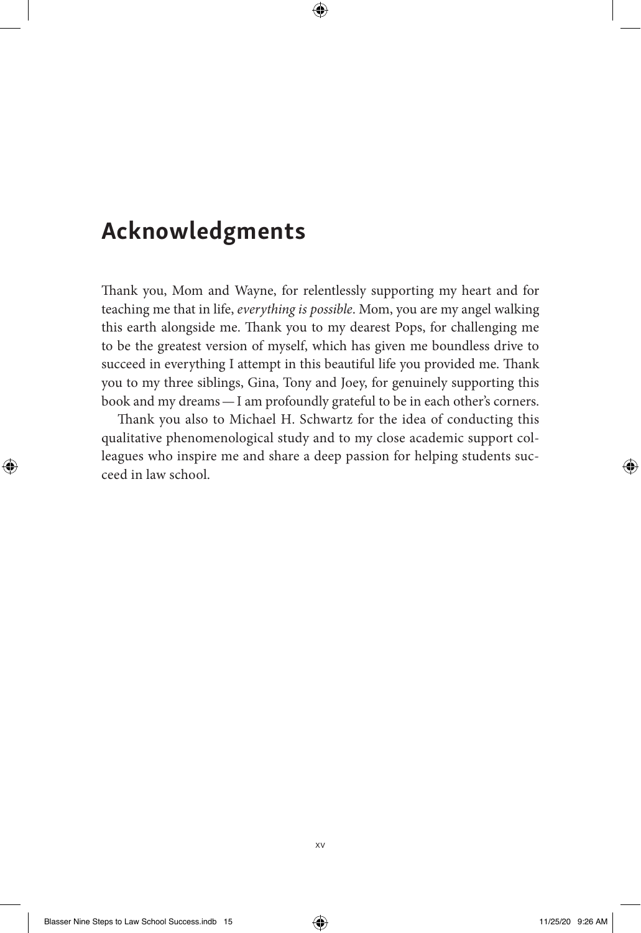# Acknowledgments

Thank you, Mom and Wayne, for relentlessly supporting my heart and for teaching me that in life, *everything is possible*. Mom, you are my angel walking this earth alongside me. Thank you to my dearest Pops, for challenging me to be the greatest version of myself, which has given me boundless drive to succeed in everything I attempt in this beautiful life you provided me. Thank you to my three siblings, Gina, Tony and Joey, for genuinely supporting this book and my dreams—I am profoundly grateful to be in each other's corners.

Thank you also to Michael H. Schwartz for the idea of conducting this qualitative phenomenological study and to my close academic support colleagues who inspire me and share a deep passion for helping students succeed in law school.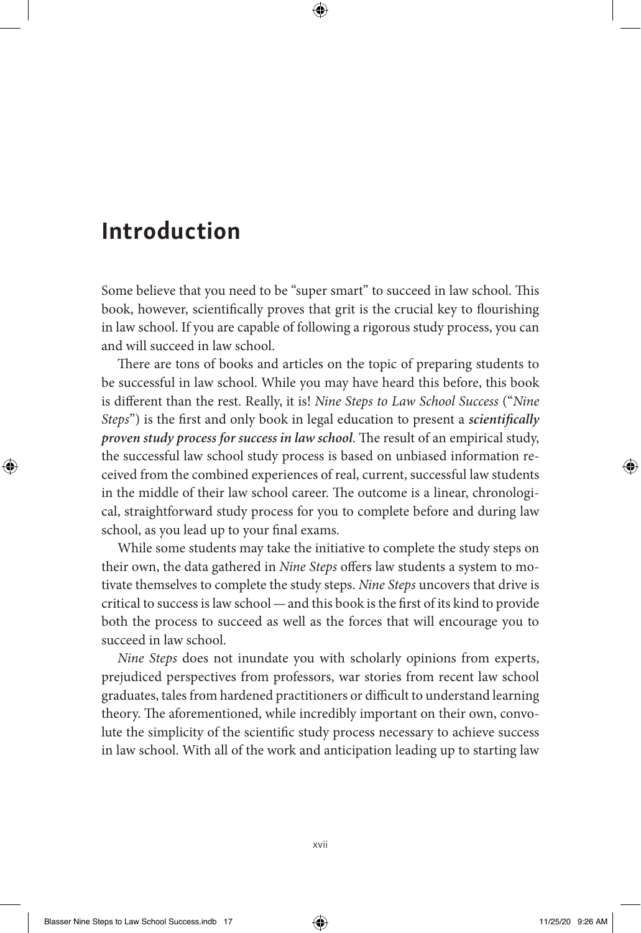# Introduction

Some believe that you need to be "super smart" to succeed in law school. This book, however, scientifically proves that grit is the crucial key to flourishing in law school. If you are capable of following a rigorous study process, you can and will succeed in law school.

There are tons of books and articles on the topic of preparing students to be successful in law school. While you may have heard this before, this book is different than the rest. Really, it is! *Nine Steps to Law School Success* ("*Nine Steps*") is the first and only book in legal education to present a *scientifically proven study process for success in law school*. The result of an empirical study, the successful law school study process is based on unbiased information received from the combined experiences of real, current, successful law students in the middle of their law school career. The outcome is a linear, chronological, straightforward study process for you to complete before and during law school, as you lead up to your final exams.

While some students may take the initiative to complete the study steps on their own, the data gathered in *Nine Steps* offers law students a system to motivate themselves to complete the study steps. *Nine Steps* uncovers that drive is critical to success is law school—and this book is the first of its kind to provide both the process to succeed as well as the forces that will encourage you to succeed in law school.

*Nine Steps* does not inundate you with scholarly opinions from experts, prejudiced perspectives from professors, war stories from recent law school graduates, tales from hardened practitioners or difficult to understand learning theory. The aforementioned, while incredibly important on their own, convolute the simplicity of the scientific study process necessary to achieve success in law school. With all of the work and anticipation leading up to starting law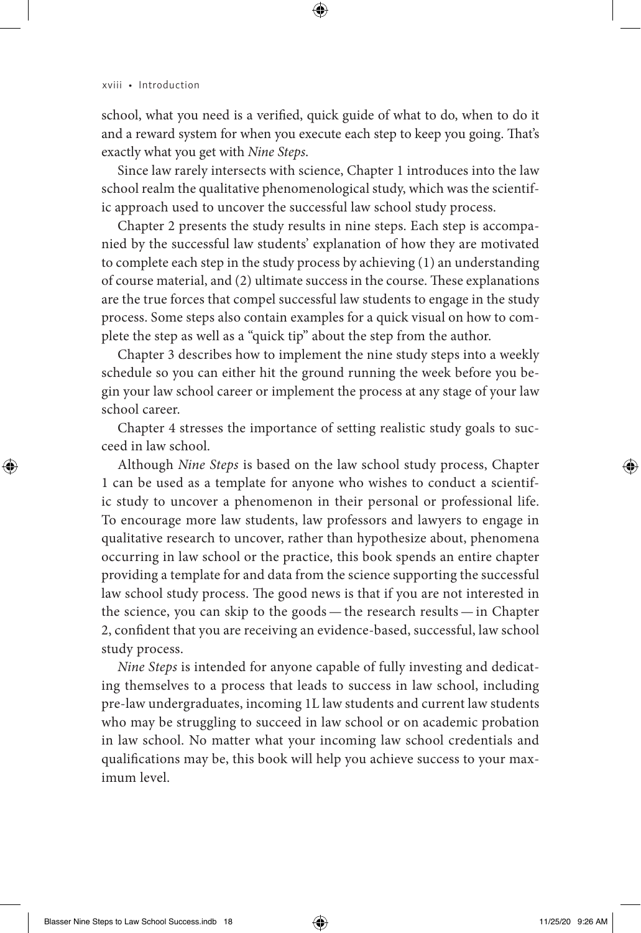school, what you need is a verified, quick guide of what to do, when to do it and a reward system for when you execute each step to keep you going. That's exactly what you get with *Nine Steps*.

Since law rarely intersects with science, Chapter 1 introduces into the law school realm the qualitative phenomenological study, which was the scientific approach used to uncover the successful law school study process.

Chapter 2 presents the study results in nine steps. Each step is accompanied by the successful law students' explanation of how they are motivated to complete each step in the study process by achieving (1) an understanding of course material, and (2) ultimate success in the course. These explanations are the true forces that compel successful law students to engage in the study process. Some steps also contain examples for a quick visual on how to complete the step as well as a "quick tip" about the step from the author.

Chapter 3 describes how to implement the nine study steps into a weekly schedule so you can either hit the ground running the week before you begin your law school career or implement the process at any stage of your law school career.

Chapter 4 stresses the importance of setting realistic study goals to succeed in law school.

Although *Nine Steps* is based on the law school study process, Chapter 1 can be used as a template for anyone who wishes to conduct a scientific study to uncover a phenomenon in their personal or professional life. To encourage more law students, law professors and lawyers to engage in qualitative research to uncover, rather than hypothesize about, phenomena occurring in law school or the practice, this book spends an entire chapter providing a template for and data from the science supporting the successful law school study process. The good news is that if you are not interested in the science, you can skip to the goods — the research results — in Chapter 2, confident that you are receiving an evidence-based, successful, law school study process.

*Nine Steps* is intended for anyone capable of fully investing and dedicating themselves to a process that leads to success in law school, including pre-law undergraduates, incoming 1L law students and current law students who may be struggling to succeed in law school or on academic probation in law school. No matter what your incoming law school credentials and qualifications may be, this book will help you achieve success to your maximum level.